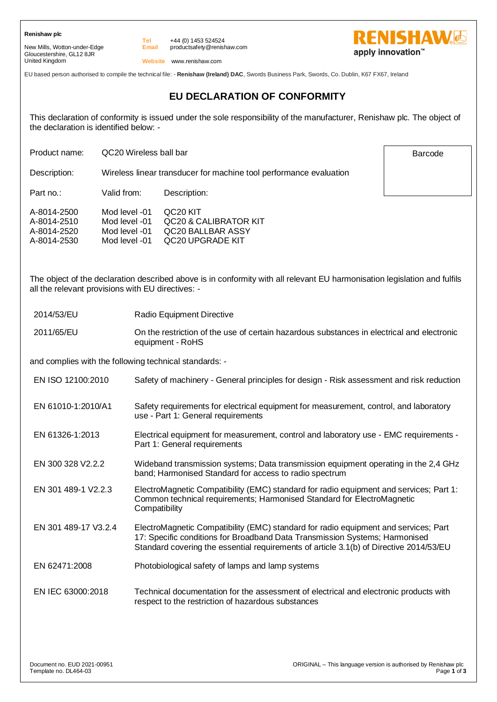**Renishaw plc**

New Mills, Wotton-under-Edge Gloucestershire, GL12 8JR United Kingdom

**Email** +44 (0) 1453 524524 productsafety@renishaw.com



**RENISHAWG** apply innovation<sup>™</sup>

Barcode

**Website** www.renishaw.com

EU based person authorised to compile the technical file: - **Renishaw (Ireland) DAC**, Swords Business Park, Swords, Co. Dublin, K67 FX67, Ireland

# **EU DECLARATION OF CONFORMITY**

This declaration of conformity is issued under the sole responsibility of the manufacturer, Renishaw plc. The object of the declaration is identified below: -

Product name: QC20 Wireless ball bar

Description: Wireless linear transducer for machine tool performance evaluation

Part no.: Valid from: Description:

| A-8014-2500 | Mod level -01 | QC <sub>20</sub> KIT  |
|-------------|---------------|-----------------------|
| A-8014-2510 | Mod level -01 | QC20 & CALIBRATOR KIT |
| A-8014-2520 | Mod level -01 | QC20 BALLBAR ASSY     |
| A-8014-2530 | Mod level -01 | OC20 UPGRADE KIT      |
|             |               |                       |

**Tel**

The object of the declaration described above is in conformity with all relevant EU harmonisation legislation and fulfils all the relevant provisions with EU directives: -

- 2014/53/EU Radio Equipment Directive
- 2011/65/EU On the restriction of the use of certain hazardous substances in electrical and electronic equipment - RoHS

and complies with the following technical standards: -

- EN ISO 12100:2010 Safety of machinery General principles for design Risk assessment and risk reduction
- EN 61010-1:2010/A1 Safety requirements for electrical equipment for measurement, control, and laboratory use - Part 1: General requirements
- EN 61326-1:2013 Electrical equipment for measurement, control and laboratory use EMC requirements Part 1: General requirements
- EN 300 328 V2.2.2 Wideband transmission systems; Data transmission equipment operating in the 2,4 GHz band; Harmonised Standard for access to radio spectrum
- EN 301 489-1 V2.2.3 ElectroMagnetic Compatibility (EMC) standard for radio equipment and services; Part 1: Common technical requirements; Harmonised Standard for ElectroMagnetic **Compatibility**
- EN 301 489-17 V3.2.4 ElectroMagnetic Compatibility (EMC) standard for radio equipment and services; Part 17: Specific conditions for Broadband Data Transmission Systems; Harmonised Standard covering the essential requirements of article 3.1(b) of Directive 2014/53/EU
- EN 62471:2008 Photobiological safety of lamps and lamp systems
- EN IEC 63000:2018 Technical documentation for the assessment of electrical and electronic products with respect to the restriction of hazardous substances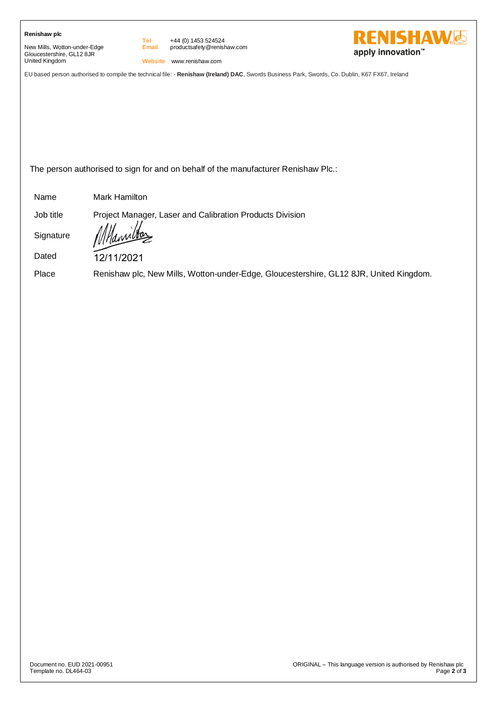| Renishaw plc |  |
|--------------|--|
|--------------|--|

New Mills, Wotton-under-Edge Gloucestershire, GL12 8JR United Kingdom

**Tel Email** +44 (0) 1453 524524 productsafety@renishaw.com



**Website** www.renishaw.com

EU based person authorised to compile the technical file: - **Renishaw (Ireland) DAC**, Swords Business Park, Swords, Co. Dublin, K67 FX67, Ireland

The person authorised to sign for and on behalf of the manufacturer Renishaw Plc.:

Name Mark Hamilton

Job title Project Manager, Laser and Calibration Products Division

**Signature** 

Dated

12/11/2021

Place Renishaw plc, New Mills, Wotton-under-Edge, Gloucestershire, GL12 8JR, United Kingdom.